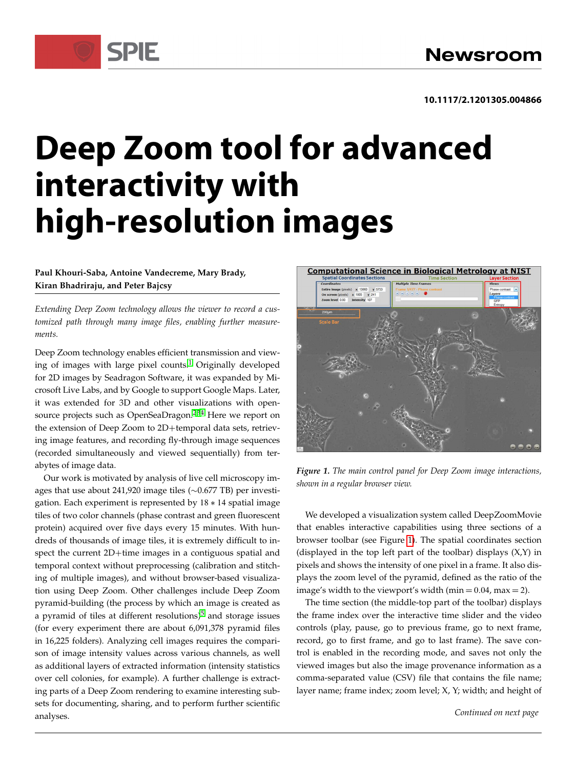# **Deep Zoom tool for advanced interactivity with high-resolution images**

### **Paul Khouri-Saba, Antoine Vandecreme, Mary Brady, Kiran Bhadriraju, and Peter Bajcsy**

SPIE

*Extending Deep Zoom technology allows the viewer to record a customized path through many image files, enabling further measurements.*

Deep Zoom technology enables efficient transmission and viewing of images with large pixel counts.[1](#page-2-0) Originally developed for 2D images by Seadragon Software, it was expanded by Microsoft Live Labs, and by Google to support Google Maps. Later, it was extended for 3D and other visualizations with open-source projects such as OpenSeaDragon.<sup>[2](#page-2-1)[3](#page-2-2)[4](#page-2-3)</sup> Here we report on the extension of Deep Zoom to 2D+temporal data sets, retrieving image features, and recording fly-through image sequences (recorded simultaneously and viewed sequentially) from terabytes of image data.

Our work is motivated by analysis of live cell microscopy images that use about 241,920 image tiles  $(\sim 0.677$  TB) per investigation. Each experiment is represented by  $18 * 14$  spatial image tiles of two color channels (phase contrast and green fluorescent protein) acquired over five days every 15 minutes. With hundreds of thousands of image tiles, it is extremely difficult to inspect the current  $2D+$ time images in a contiguous spatial and temporal context without preprocessing (calibration and stitching of multiple images), and without browser-based visualization using Deep Zoom. Other challenges include Deep Zoom pyramid-building (the process by which an image is created as a pyramid of tiles at different resolutions) $5$  and storage issues (for every experiment there are about 6,091,378 pyramid files in 16,225 folders). Analyzing cell images requires the comparison of image intensity values across various channels, as well as additional layers of extracted information (intensity statistics over cell colonies, for example). A further challenge is extracting parts of a Deep Zoom rendering to examine interesting subsets for documenting, sharing, and to perform further scientific analyses.



*Figure 1. The main control panel for Deep Zoom image interactions, shown in a regular browser view.*

<span id="page-0-0"></span>We developed a visualization system called DeepZoomMovie that enables interactive capabilities using three sections of a browser toolbar (see Figure [1\)](#page-0-0). The spatial coordinates section (displayed in the top left part of the toolbar) displays  $(X,Y)$  in pixels and shows the intensity of one pixel in a frame. It also displays the zoom level of the pyramid, defined as the ratio of the image's width to the viewport's width (min  $= 0.04$ , max  $= 2$ ).

The time section (the middle-top part of the toolbar) displays the frame index over the interactive time slider and the video controls (play, pause, go to previous frame, go to next frame, record, go to first frame, and go to last frame). The save control is enabled in the recording mode, and saves not only the viewed images but also the image provenance information as a comma-separated value (CSV) file that contains the file name; layer name; frame index; zoom level; X, Y; width; and height of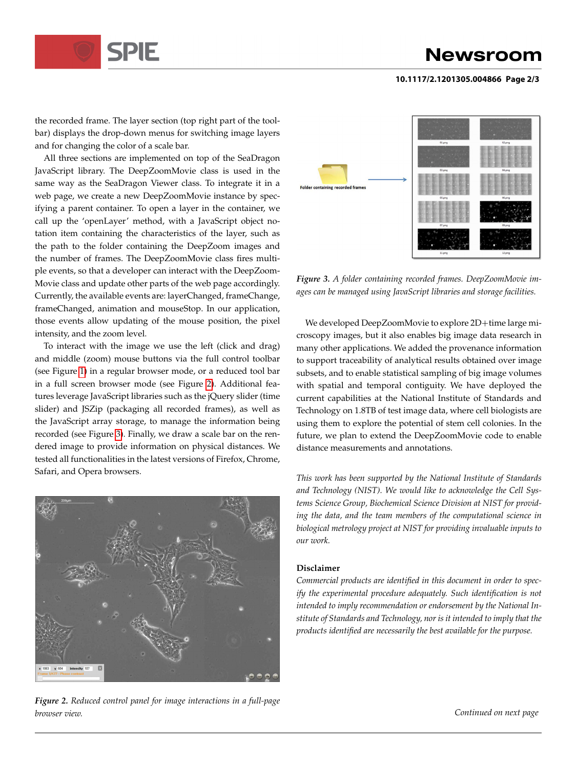

## **Newsroom**

#### **10.1117/2.1201305.004866 Page 2/3**

the recorded frame. The layer section (top right part of the toolbar) displays the drop-down menus for switching image layers and for changing the color of a scale bar.

All three sections are implemented on top of the SeaDragon JavaScript library. The DeepZoomMovie class is used in the same way as the SeaDragon Viewer class. To integrate it in a web page, we create a new DeepZoomMovie instance by specifying a parent container. To open a layer in the container, we call up the 'openLayer' method, with a JavaScript object notation item containing the characteristics of the layer, such as the path to the folder containing the DeepZoom images and the number of frames. The DeepZoomMovie class fires multiple events, so that a developer can interact with the DeepZoom-Movie class and update other parts of the web page accordingly. Currently, the available events are: layerChanged, frameChange, frameChanged, animation and mouseStop. In our application, those events allow updating of the mouse position, the pixel intensity, and the zoom level.

To interact with the image we use the left (click and drag) and middle (zoom) mouse buttons via the full control toolbar (see Figure [1\)](#page-0-0) in a regular browser mode, or a reduced tool bar in a full screen browser mode (see Figure [2\)](#page-1-0). Additional features leverage JavaScript libraries such as the jQuery slider (time slider) and JSZip (packaging all recorded frames), as well as the JavaScript array storage, to manage the information being recorded (see Figure [3\)](#page-1-1). Finally, we draw a scale bar on the rendered image to provide information on physical distances. We tested all functionalities in the latest versions of Firefox, Chrome, Safari, and Opera browsers.

<span id="page-1-0"></span>

*Figure 2. Reduced control panel for image interactions in a full-page browser view.*



<span id="page-1-1"></span>*Figure 3. A folder containing recorded frames. DeepZoomMovie images can be managed using JavaScript libraries and storage facilities.*

We developed DeepZoomMovie to explore 2D+time large microscopy images, but it also enables big image data research in many other applications. We added the provenance information to support traceability of analytical results obtained over image subsets, and to enable statistical sampling of big image volumes with spatial and temporal contiguity. We have deployed the current capabilities at the National Institute of Standards and Technology on 1.8TB of test image data, where cell biologists are using them to explore the potential of stem cell colonies. In the future, we plan to extend the DeepZoomMovie code to enable distance measurements and annotations.

*This work has been supported by the National Institute of Standards and Technology (NIST). We would like to acknowledge the Cell Systems Science Group, Biochemical Science Division at NIST for providing the data, and the team members of the computational science in biological metrology project at NIST for providing invaluable inputs to our work.*

#### **Disclaimer**

*Commercial products are identified in this document in order to specify the experimental procedure adequately. Such identification is not intended to imply recommendation or endorsement by the National Institute of Standards and Technology, nor is it intended to imply that the products identified are necessarily the best available for the purpose.*